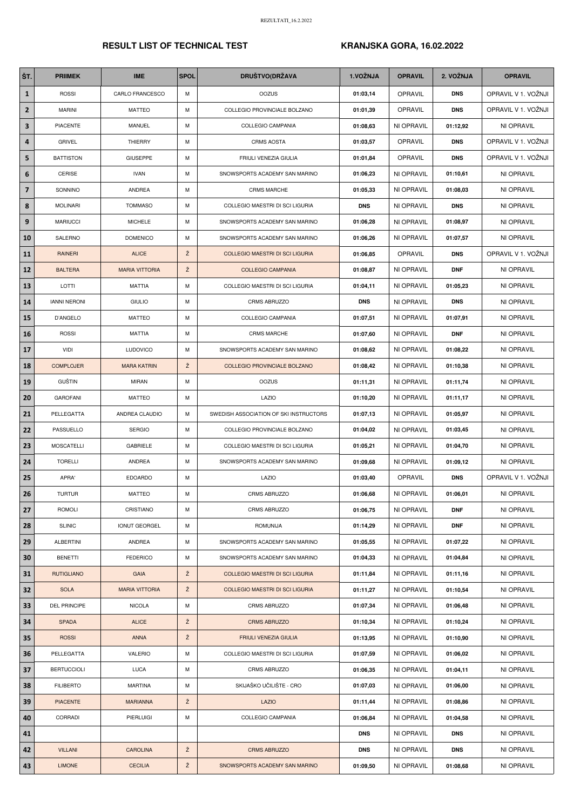## RESULT LIST OF TECHNICAL TEST KRANJSKA GORA, 16.02.2022

| ŠT.                     | <b>PRIIMEK</b>      | <b>IME</b>             | <b>SPOL</b> | <b>DRUŠTVO(DRŽAVA</b>                  | 1.VOŽNJA   | <b>OPRAVIL</b> | 2. VOŽNJA  | <b>OPRAVIL</b>      |
|-------------------------|---------------------|------------------------|-------------|----------------------------------------|------------|----------------|------------|---------------------|
| $\mathbf{1}$            | <b>ROSSI</b>        | <b>CARLO FRANCESCO</b> | М           | <b>OOZUS</b>                           | 01:03,14   | OPRAVIL        | <b>DNS</b> | OPRAVIL V 1. VOŽNJI |
| $\overline{2}$          | <b>MARINI</b>       | <b>MATTEO</b>          | M           | COLLEGIO PROVINCIALE BOLZANO           | 01:01,39   | OPRAVIL        | <b>DNS</b> | OPRAVIL V 1. VOŽNJI |
| $\overline{\mathbf{3}}$ | <b>PIACENTE</b>     | <b>MANUEL</b>          | М           | <b>COLLEGIO CAMPANIA</b>               | 01:08,63   | NI OPRAVIL     | 01:12,92   | NI OPRAVIL          |
| 4                       | <b>GRIVEL</b>       | <b>THIERRY</b>         | М           | <b>CRMS AOSTA</b>                      | 01:03,57   | OPRAVIL        | <b>DNS</b> | OPRAVIL V 1. VOŽNJI |
| 5                       | <b>BATTISTON</b>    | <b>GIUSEPPE</b>        | M           | FRIULI VENEZIA GIULIA                  | 01:01,84   | OPRAVIL        | <b>DNS</b> | OPRAVIL V 1. VOŽNJI |
| 6                       | CERISE              | <b>IVAN</b>            | M           | SNOWSPORTS ACADEMY SAN MARINO          | 01:06,23   | NI OPRAVIL     | 01:10,61   | NI OPRAVIL          |
| $\overline{\mathbf{z}}$ | SONNINO             | <b>ANDREA</b>          | М           | <b>CRMS MARCHE</b>                     | 01:05,33   | NI OPRAVIL     | 01:08,03   | NI OPRAVIL          |
| 8                       | <b>MOLINARI</b>     | <b>TOMMASO</b>         | M           | COLLEGIO MAESTRI DI SCI LIGURIA        | <b>DNS</b> | NI OPRAVIL     | <b>DNS</b> | NI OPRAVIL          |
| $\boldsymbol{9}$        | <b>MARIUCCI</b>     | <b>MICHELE</b>         | M           | SNOWSPORTS ACADEMY SAN MARINO          | 01:06,28   | NI OPRAVIL     | 01:08,97   | NI OPRAVIL          |
| 10                      | SALERNO             | <b>DOMENICO</b>        | M           | SNOWSPORTS ACADEMY SAN MARINO          | 01:06,26   | NI OPRAVIL     | 01:07,57   | NI OPRAVIL          |
| 11                      | RAINERI             | <b>ALICE</b>           | Ž           | <b>COLLEGIO MAESTRI DI SCI LIGURIA</b> | 01:06,85   | OPRAVIL        | <b>DNS</b> | OPRAVIL V 1. VOŽNJI |
| 12                      | <b>BALTERA</b>      | <b>MARIA VITTORIA</b>  | Ž           | <b>COLLEGIO CAMPANIA</b>               | 01:08,87   | NI OPRAVIL     | <b>DNF</b> | NI OPRAVIL          |
| 13                      | LOTTI               | <b>MATTIA</b>          | М           | COLLEGIO MAESTRI DI SCI LIGURIA        | 01:04,11   | NI OPRAVIL     | 01:05,23   | NI OPRAVIL          |
| 14                      | <b>IANNI NERONI</b> | <b>GIULIO</b>          | М           | CRMS ABRUZZO                           | <b>DNS</b> | NI OPRAVIL     | <b>DNS</b> | NI OPRAVIL          |
| 15                      | D'ANGELO            | <b>MATTEO</b>          | М           | COLLEGIO CAMPANIA                      | 01:07,51   | NI OPRAVIL     | 01:07,91   | NI OPRAVIL          |
| 16                      | <b>ROSSI</b>        | <b>MATTIA</b>          | М           | <b>CRMS MARCHE</b>                     | 01:07,60   | NI OPRAVIL     | <b>DNF</b> | NI OPRAVIL          |
| 17                      | <b>VIDI</b>         | <b>LUDOVICO</b>        | М           | SNOWSPORTS ACADEMY SAN MARINO          | 01:08,62   | NI OPRAVIL     | 01:08,22   | NI OPRAVIL          |
| 18                      | <b>COMPLOJER</b>    | <b>MARA KATRIN</b>     | Ž           | COLLEGIO PROVINCIALE BOLZANO           | 01:08,42   | NI OPRAVIL     | 01:10,38   | NI OPRAVIL          |
| 19                      | <b>GUŠTIN</b>       | MIRAN                  | М           | <b>OOZUS</b>                           | 01:11,31   | NI OPRAVIL     | 01:11,74   | NI OPRAVIL          |
| 20                      | <b>GAROFANI</b>     | <b>MATTEO</b>          | М           | LAZIO                                  | 01:10,20   | NI OPRAVIL     | 01:11,17   | NI OPRAVIL          |
| 21                      | PELLEGATTA          | ANDREA CLAUDIO         | M           | SWEDISH ASSOCIATION OF SKI INSTRUCTORS | 01:07,13   | NI OPRAVIL     | 01:05,97   | NI OPRAVIL          |
| 22                      | PASSUELLO           | <b>SERGIO</b>          | М           | COLLEGIO PROVINCIALE BOLZANO           | 01:04,02   | NI OPRAVIL     | 01:03,45   | NI OPRAVIL          |
| 23                      | <b>MOSCATELLI</b>   | <b>GABRIELE</b>        | M           | COLLEGIO MAESTRI DI SCI LIGURIA        | 01:05,21   | NI OPRAVIL     | 01:04,70   | NI OPRAVIL          |
| 24                      | <b>TORELLI</b>      | ANDREA                 | M           | SNOWSPORTS ACADEMY SAN MARINO          | 01:09,68   | NI OPRAVIL     | 01:09,12   | NI OPRAVIL          |
| 25                      | APRA'               | <b>EDOARDO</b>         | M           | LAZIO                                  | 01:03,40   | <b>OPRAVIL</b> | <b>DNS</b> | OPRAVIL V 1. VOŽNJI |
| 26                      | <b>TURTUR</b>       | <b>MATTEO</b>          | M           | <b>CRMS ABRUZZO</b>                    | 01:06,68   | NI OPRAVIL     | 01:06,01   | NI OPRAVIL          |
| 27                      | <b>ROMOLI</b>       | CRISTIANO              | М           | <b>CRMS ABRUZZO</b>                    | 01:06,75   | NI OPRAVIL     | <b>DNF</b> | NI OPRAVIL          |
| 28                      | <b>SLINIC</b>       | <b>IONUT GEORGEL</b>   | M           | <b>ROMUNIJA</b>                        | 01:14,29   | NI OPRAVIL     | <b>DNF</b> | NI OPRAVIL          |
| 29                      | <b>ALBERTINI</b>    | ANDREA                 | М           | SNOWSPORTS ACADEMY SAN MARINO          | 01:05,55   | NI OPRAVIL     | 01:07,22   | NI OPRAVIL          |
| 30                      | <b>BENETTI</b>      | <b>FEDERICO</b>        | М           | SNOWSPORTS ACADEMY SAN MARINO          | 01:04,33   | NI OPRAVIL     | 01:04,84   | NI OPRAVIL          |
| 31                      | <b>RUTIGLIANO</b>   | <b>GAIA</b>            | Ž           | <b>COLLEGIO MAESTRI DI SCI LIGURIA</b> | 01:11,84   | NI OPRAVIL     | 01:11,16   | NI OPRAVIL          |
| 32                      | <b>SOLA</b>         | <b>MARIA VITTORIA</b>  | Ž           | <b>COLLEGIO MAESTRI DI SCI LIGURIA</b> | 01:11,27   | NI OPRAVIL     | 01:10,54   | NI OPRAVIL          |
| 33                      | DEL PRINCIPE        | <b>NICOLA</b>          | M           | CRMS ABRUZZO                           | 01:07,34   | NI OPRAVIL     | 01:06,48   | NI OPRAVIL          |
| 34                      | <b>SPADA</b>        | <b>ALICE</b>           | Ž           | <b>CRMS ABRUZZO</b>                    | 01:10,34   | NI OPRAVIL     | 01:10,24   | NI OPRAVIL          |
| 35                      | <b>ROSSI</b>        | <b>ANNA</b>            | Ž           | FRIULI VENEZIA GIULIA                  | 01:13,95   | NI OPRAVIL     | 01:10,90   | NI OPRAVIL          |
| 36                      | PELLEGATTA          | <b>VALERIO</b>         | M           | COLLEGIO MAESTRI DI SCI LIGURIA        | 01:07,59   | NI OPRAVIL     | 01:06,02   | NI OPRAVIL          |
| 37                      | <b>BERTUCCIOLI</b>  | <b>LUCA</b>            | M           | CRMS ABRUZZO                           | 01:06,35   | NI OPRAVIL     | 01:04,11   | NI OPRAVIL          |
| 38                      | <b>FILIBERTO</b>    | <b>MARTINA</b>         | M           | SKIJAŠKO UČILIŠTE - CRO                | 01:07,03   | NI OPRAVIL     | 01:06,00   | NI OPRAVIL          |
| 39                      | <b>PIACENTE</b>     | <b>MARIANNA</b>        | Ž           | LAZIO                                  | 01:11,44   | NI OPRAVIL     | 01:08,86   | NI OPRAVIL          |
| 40                      | CORRADI             | PIERLUIGI              | M           | COLLEGIO CAMPANIA                      | 01:06,84   | NI OPRAVIL     | 01:04,58   | NI OPRAVIL          |
| 41                      |                     |                        |             |                                        | <b>DNS</b> | NI OPRAVIL     | <b>DNS</b> | NI OPRAVIL          |
| 42                      | <b>VILLANI</b>      | <b>CAROLINA</b>        | Ž           | <b>CRMS ABRUZZO</b>                    | <b>DNS</b> | NI OPRAVIL     | <b>DNS</b> | NI OPRAVIL          |
| 43                      | <b>LIMONE</b>       | <b>CECILIA</b>         | Ž           | SNOWSPORTS ACADEMY SAN MARINO          | 01:09,50   | NI OPRAVIL     | 01:08,68   | NI OPRAVIL          |